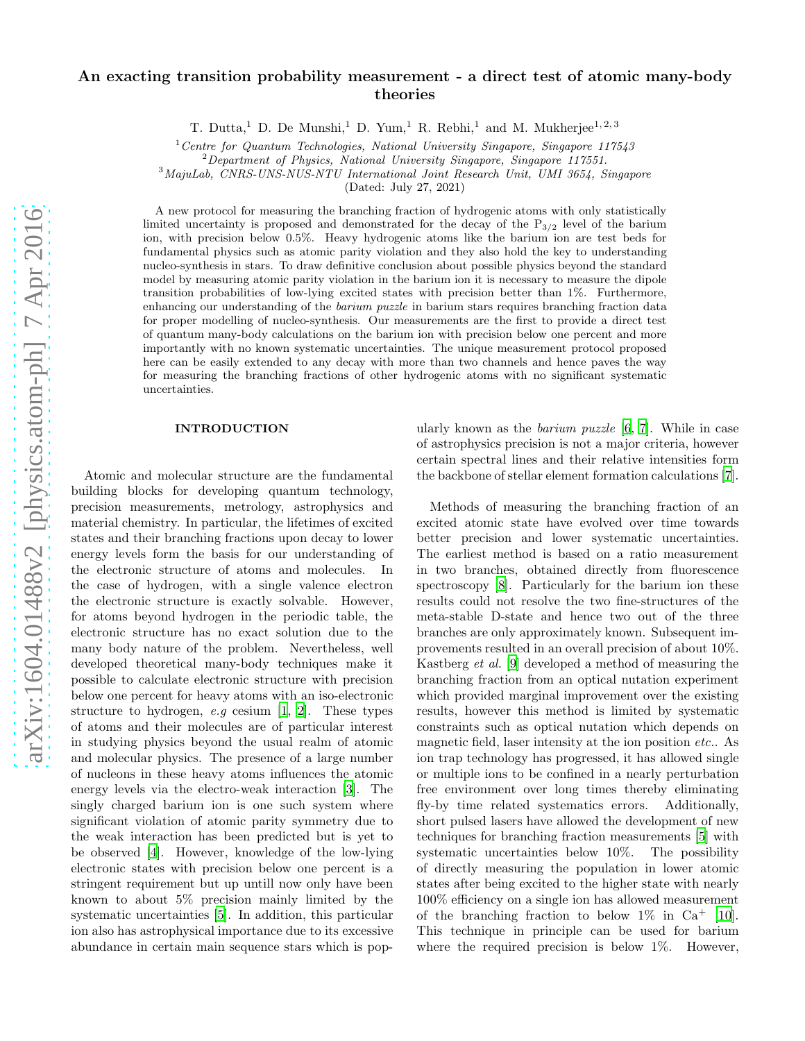# An exacting transition probability measurement - a direct test of atomic many-body theories

T. Dutta,<sup>1</sup> D. De Munshi,<sup>1</sup> D. Yum,<sup>1</sup> R. Rebhi,<sup>1</sup> and M. Mukherjee<sup>1, 2, 3</sup>

 $1$ <sup>1</sup> Centre for Quantum Technologies, National University Singapore, Singapore 117543

 $2$ Department of Physics, National University Singapore, Singapore 117551.

<sup>3</sup>MajuLab, CNRS-UNS-NUS-NTU International Joint Research Unit, UMI 3654, Singapore

(Dated: July 27, 2021)

A new protocol for measuring the branching fraction of hydrogenic atoms with only statistically limited uncertainty is proposed and demonstrated for the decay of the  $P_{3/2}$  level of the barium ion, with precision below 0.5%. Heavy hydrogenic atoms like the barium ion are test beds for fundamental physics such as atomic parity violation and they also hold the key to understanding nucleo-synthesis in stars. To draw definitive conclusion about possible physics beyond the standard model by measuring atomic parity violation in the barium ion it is necessary to measure the dipole transition probabilities of low-lying excited states with precision better than 1%. Furthermore, enhancing our understanding of the barium puzzle in barium stars requires branching fraction data for proper modelling of nucleo-synthesis. Our measurements are the first to provide a direct test of quantum many-body calculations on the barium ion with precision below one percent and more importantly with no known systematic uncertainties. The unique measurement protocol proposed here can be easily extended to any decay with more than two channels and hence paves the way for measuring the branching fractions of other hydrogenic atoms with no significant systematic uncertainties.

## INTRODUCTION

Atomic and molecular structure are the fundamental building blocks for developing quantum technology, precision measurements, metrology, astrophysics and material chemistry. In particular, the lifetimes of excited states and their branching fractions upon decay to lower energy levels form the basis for our understanding of the electronic structure of atoms and molecules. In the case of hydrogen, with a single valence electron the electronic structure is exactly solvable. However, for atoms beyond hydrogen in the periodic table, the electronic structure has no exact solution due to the many body nature of the problem. Nevertheless, well developed theoretical many-body techniques make it possible to calculate electronic structure with precision below one percent for heavy atoms with an iso-electronic structure to hydrogen, *e.g* cesium [\[1,](#page-7-0) [2](#page-7-1)]. These types of atoms and their molecules are of particular interest in studying physics beyond the usual realm of atomic and molecular physics. The presence of a large number of nucleons in these heavy atoms influences the atomic energy levels via the electro-weak interaction [\[3](#page-7-2)]. The singly charged barium ion is one such system where significant violation of atomic parity symmetry due to the weak interaction has been predicted but is yet to be observed [\[4](#page-7-3)]. However, knowledge of the low-lying electronic states with precision below one percent is a stringent requirement but up untill now only have been known to about 5% precision mainly limited by the systematic uncertainties [\[5\]](#page-7-4). In addition, this particular ion also has astrophysical importance due to its excessive abundance in certain main sequence stars which is pop-

ularly known as the *barium puzzle* [\[6,](#page-7-5) [7\]](#page-7-6). While in case of astrophysics precision is not a major criteria, however certain spectral lines and their relative intensities form the backbone of stellar element formation calculations [\[7\]](#page-7-6).

Methods of measuring the branching fraction of an excited atomic state have evolved over time towards better precision and lower systematic uncertainties. The earliest method is based on a ratio measurement in two branches, obtained directly from fluorescence spectroscopy [\[8](#page-7-7)]. Particularly for the barium ion these results could not resolve the two fine-structures of the meta-stable D-state and hence two out of the three branches are only approximately known. Subsequent improvements resulted in an overall precision of about 10%. Kastberg *et al.* [\[9\]](#page-7-8) developed a method of measuring the branching fraction from an optical nutation experiment which provided marginal improvement over the existing results, however this method is limited by systematic constraints such as optical nutation which depends on magnetic field, laser intensity at the ion position *etc.*. As ion trap technology has progressed, it has allowed single or multiple ions to be confined in a nearly perturbation free environment over long times thereby eliminating fly-by time related systematics errors. Additionally, short pulsed lasers have allowed the development of new techniques for branching fraction measurements [\[5\]](#page-7-4) with systematic uncertainties below 10%. The possibility of directly measuring the population in lower atomic states after being excited to the higher state with nearly 100% efficiency on a single ion has allowed measurement of the branching fraction to below  $1\%$  in Ca<sup>+</sup> [\[10\]](#page-7-9). This technique in principle can be used for barium where the required precision is below  $1\%$ . However,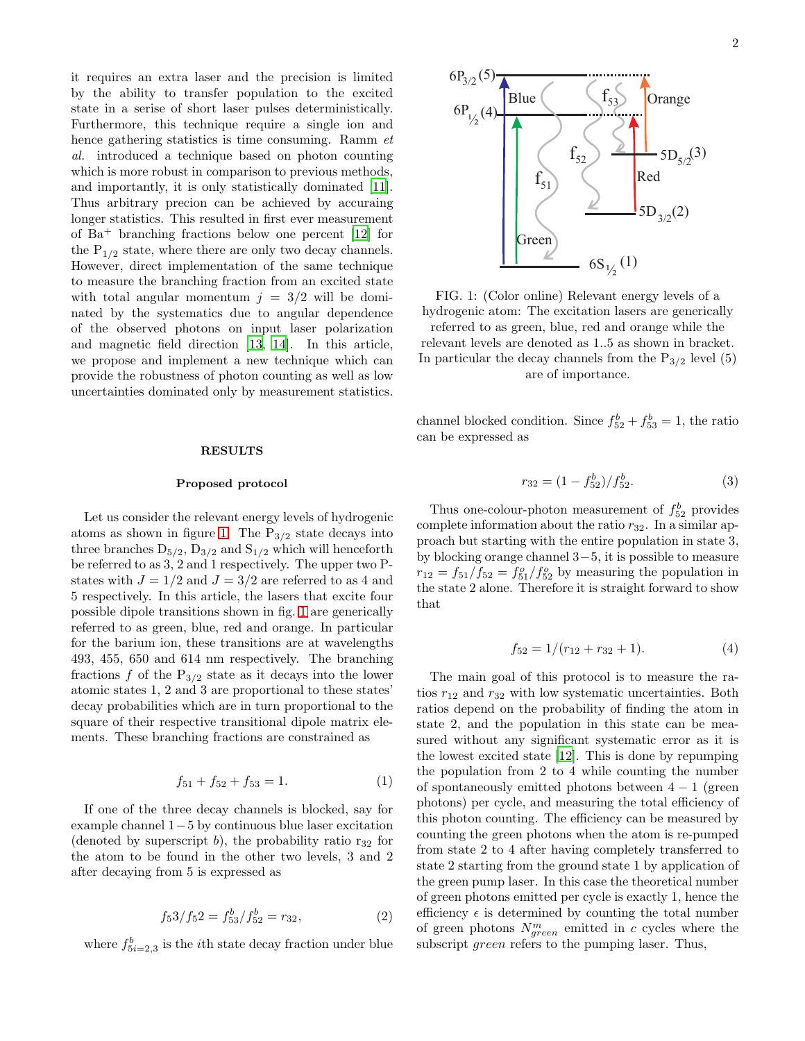it requires an extra laser and the precision is limited by the ability to transfer population to the excited state in a serise of short laser pulses deterministically. Furthermore, this technique require a single ion and hence gathering statistics is time consuming. Ramm *et al.* introduced a technique based on photon counting which is more robust in comparison to previous methods, and importantly, it is only statistically dominated [\[11\]](#page-7-10). Thus arbitrary precion can be achieved by accuraing longer statistics. This resulted in first ever measurement of Ba<sup>+</sup> branching fractions below one percent [\[12\]](#page-7-11) for the  $P_{1/2}$  state, where there are only two decay channels. However, direct implementation of the same technique to measure the branching fraction from an excited state with total angular momentum  $j = 3/2$  will be dominated by the systematics due to angular dependence of the observed photons on input laser polarization and magnetic field direction [\[13,](#page-7-12) [14\]](#page-7-13). In this article, we propose and implement a new technique which can provide the robustness of photon counting as well as low uncertainties dominated only by measurement statistics.

#### RESULTS

## Proposed protocol

Let us consider the relevant energy levels of hydrogenic atoms as shown in figure [1.](#page-1-0) The  $P_{3/2}$  state decays into three branches  $D_{5/2}$ ,  $D_{3/2}$  and  $S_{1/2}$  which will henceforth be referred to as 3, 2 and 1 respectively. The upper two Pstates with  $J = 1/2$  and  $J = 3/2$  are referred to as 4 and 5 respectively. In this article, the lasers that excite four possible dipole transitions shown in fig. [1](#page-1-0) are generically referred to as green, blue, red and orange. In particular for the barium ion, these transitions are at wavelengths 493, 455, 650 and 614 nm respectively. The branching fractions f of the  $P_{3/2}$  state as it decays into the lower atomic states 1, 2 and 3 are proportional to these states' decay probabilities which are in turn proportional to the square of their respective transitional dipole matrix elements. These branching fractions are constrained as

$$
f_{51} + f_{52} + f_{53} = 1.
$$
 (1)

If one of the three decay channels is blocked, say for example channel 1−5 by continuous blue laser excitation (denoted by superscript b), the probability ratio  $r_{32}$  for the atom to be found in the other two levels, 3 and 2 after decaying from 5 is expressed as

$$
f_5 3/f_5 2 = f_{53}^b/f_{52}^b = r_{32},
$$
 (2)

where  $f_{5i=2,3}^b$  is the *i*<sup>th</sup> state decay fraction under blue

<span id="page-1-0"></span>

FIG. 1: (Color online) Relevant energy levels of a hydrogenic atom: The excitation lasers are generically referred to as green, blue, red and orange while the

relevant levels are denoted as 1..5 as shown in bracket. In particular the decay channels from the  $P_{3/2}$  level (5) are of importance.

channel blocked condition. Since  $f_{52}^b + f_{53}^b = 1$ , the ratio can be expressed as

$$
r_{32} = (1 - f_{52}^b) / f_{52}^b.
$$
 (3)

Thus one-colour-photon measurement of  $f_{52}^b$  provides complete information about the ratio  $r_{32}$ . In a similar approach but starting with the entire population in state 3, by blocking orange channel 3−5, it is possible to measure  $r_{12} = f_{51}/f_{52} = f_{51}^o/f_{52}^o$  by measuring the population in the state 2 alone. Therefore it is straight forward to show that

$$
f_{52} = 1/(r_{12} + r_{32} + 1). \tag{4}
$$

The main goal of this protocol is to measure the ratios  $r_{12}$  and  $r_{32}$  with low systematic uncertainties. Both ratios depend on the probability of finding the atom in state 2, and the population in this state can be measured without any significant systematic error as it is the lowest excited state [\[12](#page-7-11)]. This is done by repumping the population from 2 to 4 while counting the number of spontaneously emitted photons between  $4-1$  (green photons) per cycle, and measuring the total efficiency of this photon counting. The efficiency can be measured by counting the green photons when the atom is re-pumped from state 2 to 4 after having completely transferred to state 2 starting from the ground state 1 by application of the green pump laser. In this case the theoretical number of green photons emitted per cycle is exactly 1, hence the efficiency  $\epsilon$  is determined by counting the total number of green photons  $N_{green}^m$  emitted in c cycles where the subscript *green* refers to the pumping laser. Thus,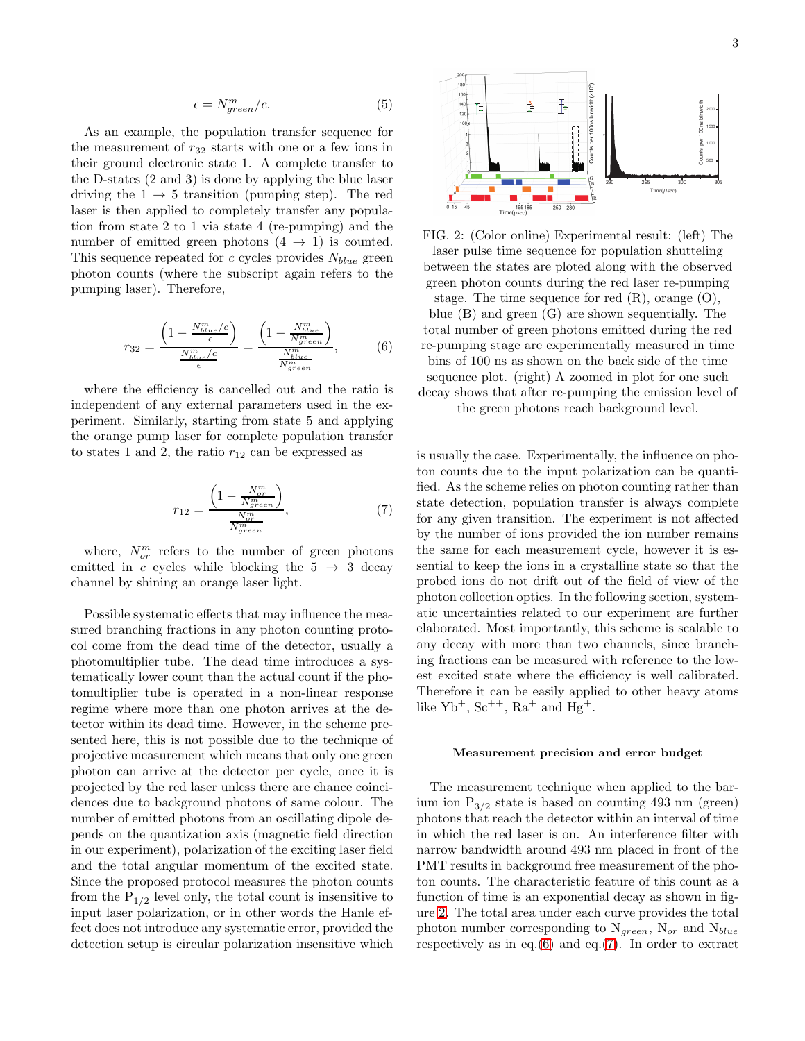$$
\epsilon = N_{green}^m / c. \tag{5}
$$

As an example, the population transfer sequence for the measurement of  $r_{32}$  starts with one or a few ions in their ground electronic state 1. A complete transfer to the D-states (2 and 3) is done by applying the blue laser driving the  $1 \rightarrow 5$  transition (pumping step). The red laser is then applied to completely transfer any population from state 2 to 1 via state 4 (re-pumping) and the number of emitted green photons  $(4 \rightarrow 1)$  is counted. This sequence repeated for c cycles provides  $N_{blue}$  green photon counts (where the subscript again refers to the pumping laser). Therefore,

<span id="page-2-1"></span>
$$
r_{32} = \frac{\left(1 - \frac{N_{blue}^m/c}{\epsilon}\right)}{\frac{N_{blue}^m/c}{\epsilon}} = \frac{\left(1 - \frac{N_{blue}^m}{N_{green}^m}\right)}{\frac{N_{blue}^m}{N_{green}^m}},\tag{6}
$$

where the efficiency is cancelled out and the ratio is independent of any external parameters used in the experiment. Similarly, starting from state 5 and applying the orange pump laser for complete population transfer to states 1 and 2, the ratio  $r_{12}$  can be expressed as

<span id="page-2-2"></span>
$$
r_{12} = \frac{\left(1 - \frac{N_{or}^m}{N_{green}^m}\right)}{\frac{N_{or}^m}{N_{green}^m}},\tag{7}
$$

where,  $N_{or}^{m}$  refers to the number of green photons emitted in c cycles while blocking the  $5 \rightarrow 3$  decay channel by shining an orange laser light.

Possible systematic effects that may influence the measured branching fractions in any photon counting protocol come from the dead time of the detector, usually a photomultiplier tube. The dead time introduces a systematically lower count than the actual count if the photomultiplier tube is operated in a non-linear response regime where more than one photon arrives at the detector within its dead time. However, in the scheme presented here, this is not possible due to the technique of projective measurement which means that only one green photon can arrive at the detector per cycle, once it is projected by the red laser unless there are chance coincidences due to background photons of same colour. The number of emitted photons from an oscillating dipole depends on the quantization axis (magnetic field direction in our experiment), polarization of the exciting laser field and the total angular momentum of the excited state. Since the proposed protocol measures the photon counts from the  $P_{1/2}$  level only, the total count is insensitive to input laser polarization, or in other words the Hanle effect does not introduce any systematic error, provided the detection setup is circular polarization insensitive which

<span id="page-2-0"></span>

FIG. 2: (Color online) Experimental result: (left) The laser pulse time sequence for population shutteling between the states are ploted along with the observed green photon counts during the red laser re-pumping

stage. The time sequence for red  $(R)$ , orange  $(O)$ , blue (B) and green (G) are shown sequentially. The total number of green photons emitted during the red re-pumping stage are experimentally measured in time bins of 100 ns as shown on the back side of the time sequence plot. (right) A zoomed in plot for one such decay shows that after re-pumping the emission level of

the green photons reach background level.

is usually the case. Experimentally, the influence on photon counts due to the input polarization can be quantified. As the scheme relies on photon counting rather than state detection, population transfer is always complete for any given transition. The experiment is not affected by the number of ions provided the ion number remains the same for each measurement cycle, however it is essential to keep the ions in a crystalline state so that the probed ions do not drift out of the field of view of the photon collection optics. In the following section, systematic uncertainties related to our experiment are further elaborated. Most importantly, this scheme is scalable to any decay with more than two channels, since branching fractions can be measured with reference to the lowest excited state where the efficiency is well calibrated. Therefore it can be easily applied to other heavy atoms like  $Yb^+$ ,  $Sc^{++}$ ,  $Ra^+$  and  $Hg^+$ .

#### Measurement precision and error budget

The measurement technique when applied to the barium ion  $P_{3/2}$  state is based on counting 493 nm (green) photons that reach the detector within an interval of time in which the red laser is on. An interference filter with narrow bandwidth around 493 nm placed in front of the PMT results in background free measurement of the photon counts. The characteristic feature of this count as a function of time is an exponential decay as shown in figure [2.](#page-2-0) The total area under each curve provides the total photon number corresponding to  $\mathcal{N}_{green},$   $\mathcal{N}_{or}$  and  $\mathcal{N}_{blue}$ respectively as in eq. $(6)$  and eq. $(7)$ . In order to extract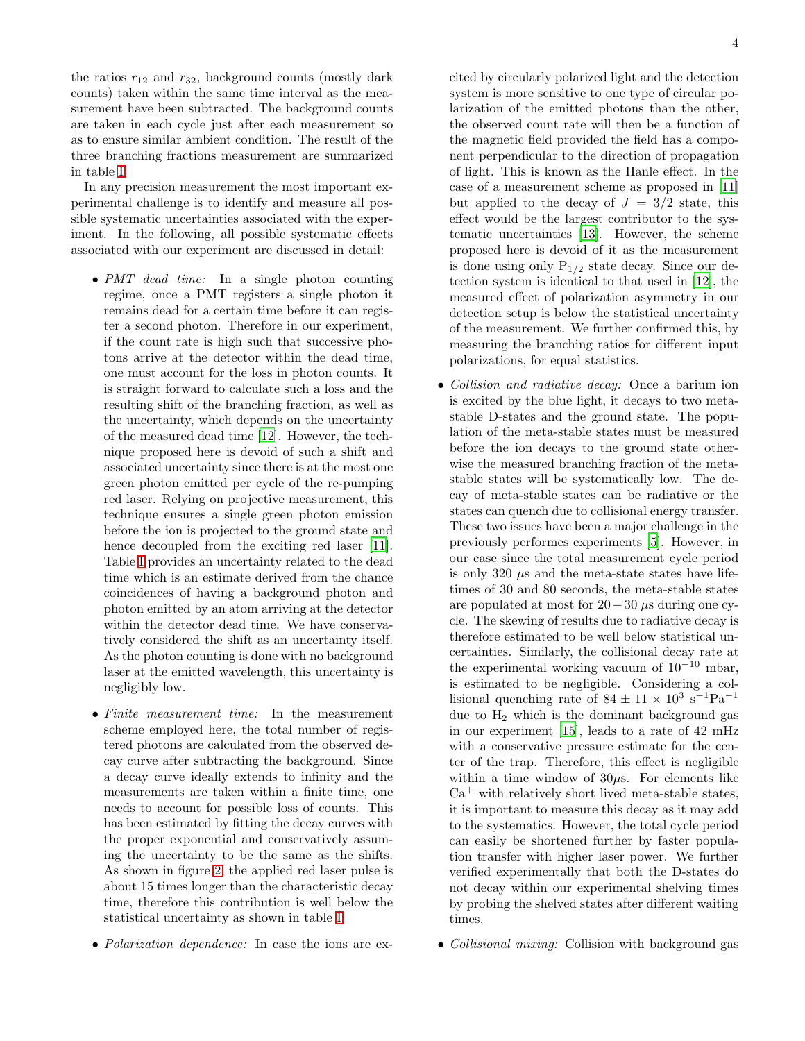the ratios  $r_{12}$  and  $r_{32}$ , background counts (mostly dark counts) taken within the same time interval as the measurement have been subtracted. The background counts are taken in each cycle just after each measurement so as to ensure similar ambient condition. The result of the three branching fractions measurement are summarized in table [I.](#page-4-0)

In any precision measurement the most important experimental challenge is to identify and measure all possible systematic uncertainties associated with the experiment. In the following, all possible systematic effects associated with our experiment are discussed in detail:

- *PMT dead time:* In a single photon counting regime, once a PMT registers a single photon it remains dead for a certain time before it can register a second photon. Therefore in our experiment, if the count rate is high such that successive photons arrive at the detector within the dead time, one must account for the loss in photon counts. It is straight forward to calculate such a loss and the resulting shift of the branching fraction, as well as the uncertainty, which depends on the uncertainty of the measured dead time [\[12\]](#page-7-11). However, the technique proposed here is devoid of such a shift and associated uncertainty since there is at the most one green photon emitted per cycle of the re-pumping red laser. Relying on projective measurement, this technique ensures a single green photon emission before the ion is projected to the ground state and hence decoupled from the exciting red laser [\[11\]](#page-7-10). Table [I](#page-4-0) provides an uncertainty related to the dead time which is an estimate derived from the chance coincidences of having a background photon and photon emitted by an atom arriving at the detector within the detector dead time. We have conservatively considered the shift as an uncertainty itself. As the photon counting is done with no background laser at the emitted wavelength, this uncertainty is negligibly low.
- *Finite measurement time:* In the measurement scheme employed here, the total number of registered photons are calculated from the observed decay curve after subtracting the background. Since a decay curve ideally extends to infinity and the measurements are taken within a finite time, one needs to account for possible loss of counts. This has been estimated by fitting the decay curves with the proper exponential and conservatively assuming the uncertainty to be the same as the shifts. As shown in figure [2,](#page-2-0) the applied red laser pulse is about 15 times longer than the characteristic decay time, therefore this contribution is well below the statistical uncertainty as shown in table [I.](#page-4-0)
- *Polarization dependence:* In case the ions are ex-

cited by circularly polarized light and the detection system is more sensitive to one type of circular polarization of the emitted photons than the other, the observed count rate will then be a function of the magnetic field provided the field has a component perpendicular to the direction of propagation of light. This is known as the Hanle effect. In the case of a measurement scheme as proposed in [\[11](#page-7-10)] but applied to the decay of  $J = 3/2$  state, this effect would be the largest contributor to the systematic uncertainties [\[13\]](#page-7-12). However, the scheme

- proposed here is devoid of it as the measurement is done using only  $P_{1/2}$  state decay. Since our detection system is identical to that used in [\[12\]](#page-7-11), the measured effect of polarization asymmetry in our detection setup is below the statistical uncertainty of the measurement. We further confirmed this, by measuring the branching ratios for different input polarizations, for equal statistics.
- *Collision and radiative decay:* Once a barium ion is excited by the blue light, it decays to two metastable D-states and the ground state. The population of the meta-stable states must be measured before the ion decays to the ground state otherwise the measured branching fraction of the metastable states will be systematically low. The decay of meta-stable states can be radiative or the states can quench due to collisional energy transfer. These two issues have been a major challenge in the previously performes experiments [\[5\]](#page-7-4). However, in our case since the total measurement cycle period is only 320  $\mu$ s and the meta-state states have lifetimes of 30 and 80 seconds, the meta-stable states are populated at most for  $20-30 \mu s$  during one cycle. The skewing of results due to radiative decay is therefore estimated to be well below statistical uncertainties. Similarly, the collisional decay rate at the experimental working vacuum of  $10^{-10}$  mbar, is estimated to be negligible. Considering a collisional quenching rate of  $84 \pm 11 \times 10^3$  s<sup>-1</sup>Pa<sup>-1</sup> due to  $H_2$  which is the dominant background gas in our experiment [\[15\]](#page-7-14), leads to a rate of 42 mHz with a conservative pressure estimate for the center of the trap. Therefore, this effect is negligible within a time window of  $30\mu$ s. For elements like  $Ca<sup>+</sup>$  with relatively short lived meta-stable states, it is important to measure this decay as it may add to the systematics. However, the total cycle period can easily be shortened further by faster population transfer with higher laser power. We further verified experimentally that both the D-states do not decay within our experimental shelving times by probing the shelved states after different waiting times.
- *Collisional mixing:* Collision with background gas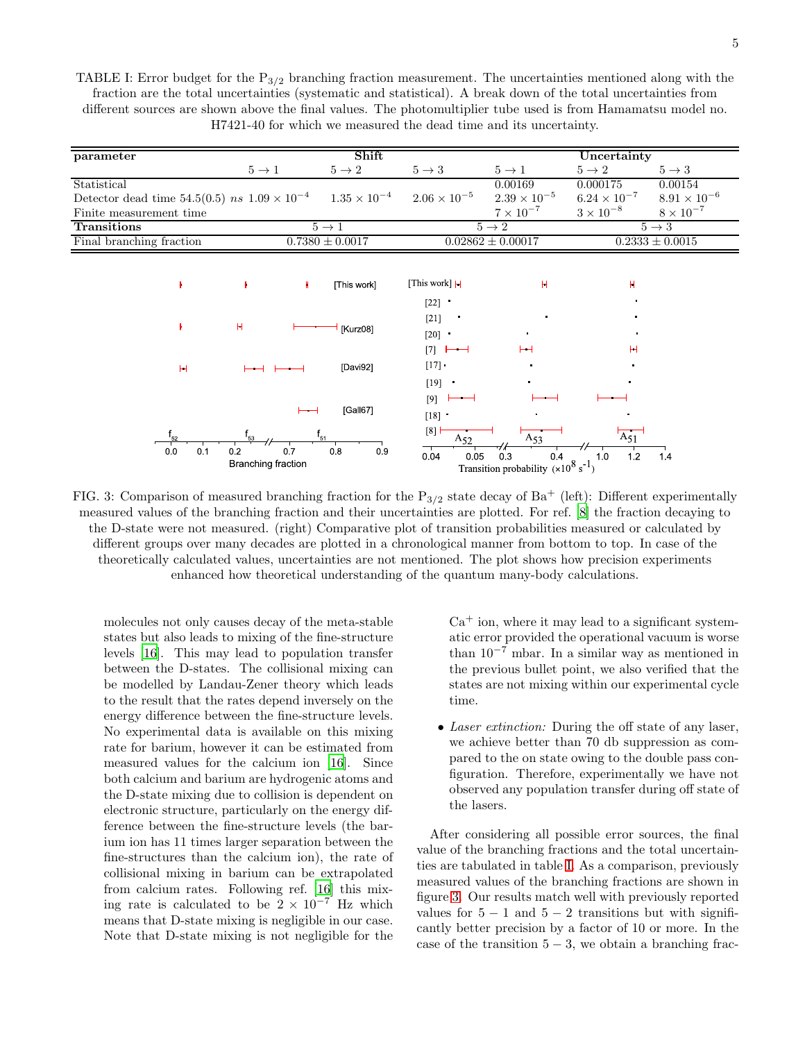<span id="page-4-0"></span>TABLE I: Error budget for the  $P_{3/2}$  branching fraction measurement. The uncertainties mentioned along with the fraction are the total uncertainties (systematic and statistical). A break down of the total uncertainties from different sources are shown above the final values. The photomultiplier tube used is from Hamamatsu model no. H7421-40 for which we measured the dead time and its uncertainty.

| parameter                                             |                     | Shift                 | Uncertainty           |                       |                       |                       |
|-------------------------------------------------------|---------------------|-----------------------|-----------------------|-----------------------|-----------------------|-----------------------|
|                                                       | $5 \rightarrow 1$   | $5 \rightarrow 2$     | $5 \rightarrow 3$     | $5 \rightarrow 1$     | $5 \rightarrow 2$     | $5 \rightarrow 3$     |
| Statistical                                           |                     |                       |                       | 0.00169               | 0.000175              | 0.00154               |
| Detector dead time 54.5(0.5) ns $1.09 \times 10^{-4}$ |                     | $1.35 \times 10^{-4}$ | $2.06 \times 10^{-5}$ | $2.39 \times 10^{-5}$ | $6.24 \times 10^{-7}$ | $8.91 \times 10^{-6}$ |
| Finite measurement time                               |                     |                       |                       | $7 \times 10^{-7}$    | $3 \times 10^{-8}$    | $8 \times 10^{-7}$    |
| <b>Transitions</b>                                    | $5 \rightarrow 1$   |                       | $5 \rightarrow 2$     |                       | $5 \rightarrow 3$     |                       |
| Final branching fraction                              | $0.7380 \pm 0.0017$ |                       | $0.02862 \pm 0.00017$ |                       | $0.2333 \pm 0.0015$   |                       |

<span id="page-4-1"></span>

FIG. 3: Comparison of measured branching fraction for the  $P_{3/2}$  state decay of Ba<sup>+</sup> (left): Different experimentally measured values of the branching fraction and their uncertainties are plotted. For ref. [\[8\]](#page-7-7) the fraction decaying to the D-state were not measured. (right) Comparative plot of transition probabilities measured or calculated by different groups over many decades are plotted in a chronological manner from bottom to top. In case of the theoretically calculated values, uncertainties are not mentioned. The plot shows how precision experiments enhanced how theoretical understanding of the quantum many-body calculations.

molecules not only causes decay of the meta-stable states but also leads to mixing of the fine-structure levels [\[16](#page-7-15)]. This may lead to population transfer between the D-states. The collisional mixing can be modelled by Landau-Zener theory which leads to the result that the rates depend inversely on the energy difference between the fine-structure levels. No experimental data is available on this mixing rate for barium, however it can be estimated from measured values for the calcium ion [\[16](#page-7-15)]. Since both calcium and barium are hydrogenic atoms and the D-state mixing due to collision is dependent on electronic structure, particularly on the energy difference between the fine-structure levels (the barium ion has 11 times larger separation between the fine-structures than the calcium ion), the rate of collisional mixing in barium can be extrapolated from calcium rates. Following ref. [\[16](#page-7-15)] this mixing rate is calculated to be  $2 \times 10^{-7}$  Hz which means that D-state mixing is negligible in our case. Note that D-state mixing is not negligible for the

 $Ca<sup>+</sup>$  ion, where it may lead to a significant systematic error provided the operational vacuum is worse than  $10^{-7}$  mbar. In a similar way as mentioned in the previous bullet point, we also verified that the states are not mixing within our experimental cycle time.

• *Laser extinction:* During the off state of any laser, we achieve better than 70 db suppression as compared to the on state owing to the double pass configuration. Therefore, experimentally we have not observed any population transfer during off state of the lasers.

After considering all possible error sources, the final value of the branching fractions and the total uncertainties are tabulated in table [I.](#page-4-0) As a comparison, previously measured values of the branching fractions are shown in figure [3.](#page-4-1) Our results match well with previously reported values for  $5 - 1$  and  $5 - 2$  transitions but with significantly better precision by a factor of 10 or more. In the case of the transition  $5 - 3$ , we obtain a branching frac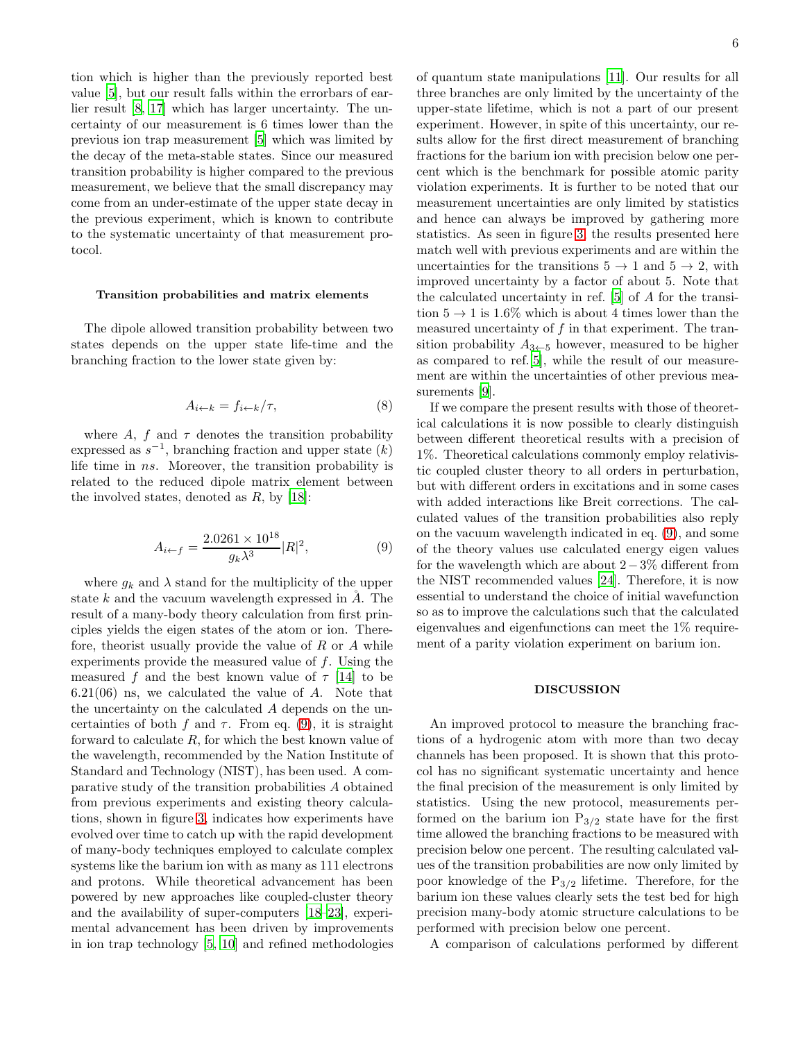tion which is higher than the previously reported best value [\[5](#page-7-4)], but our result falls within the errorbars of earlier result [\[8,](#page-7-7) [17](#page-7-16)] which has larger uncertainty. The uncertainty of our measurement is 6 times lower than the previous ion trap measurement [\[5\]](#page-7-4) which was limited by the decay of the meta-stable states. Since our measured transition probability is higher compared to the previous measurement, we believe that the small discrepancy may come from an under-estimate of the upper state decay in the previous experiment, which is known to contribute to the systematic uncertainty of that measurement protocol.

## Transition probabilities and matrix elements

The dipole allowed transition probability between two states depends on the upper state life-time and the branching fraction to the lower state given by:

$$
A_{i \leftarrow k} = f_{i \leftarrow k} / \tau,\tag{8}
$$

where A, f and  $\tau$  denotes the transition probability expressed as  $s^{-1}$ , branching fraction and upper state  $(k)$ life time in ns. Moreover, the transition probability is related to the reduced dipole matrix element between the involved states, denoted as  $R$ , by [\[18\]](#page-7-17):

<span id="page-5-0"></span>
$$
A_{i \leftarrow f} = \frac{2.0261 \times 10^{18}}{g_k \lambda^3} |R|^2, \tag{9}
$$

where  $q_k$  and  $\lambda$  stand for the multiplicity of the upper state  $k$  and the vacuum wavelength expressed in  $A$ . The result of a many-body theory calculation from first principles yields the eigen states of the atom or ion. Therefore, theorist usually provide the value of  $R$  or  $A$  while experiments provide the measured value of f. Using the measured f and the best known value of  $\tau$  [\[14\]](#page-7-13) to be  $6.21(06)$  ns, we calculated the value of  $A$ . Note that the uncertainty on the calculated A depends on the uncertainties of both f and  $\tau$ . From eq. [\(9\)](#page-5-0), it is straight forward to calculate  $R$ , for which the best known value of the wavelength, recommended by the Nation Institute of Standard and Technology (NIST), has been used. A comparative study of the transition probabilities A obtained from previous experiments and existing theory calculations, shown in figure [3,](#page-4-1) indicates how experiments have evolved over time to catch up with the rapid development of many-body techniques employed to calculate complex systems like the barium ion with as many as 111 electrons and protons. While theoretical advancement has been powered by new approaches like coupled-cluster theory and the availability of super-computers [\[18](#page-7-17)[–23\]](#page-7-18), experimental advancement has been driven by improvements in ion trap technology [\[5](#page-7-4), [10\]](#page-7-9) and refined methodologies of quantum state manipulations [\[11](#page-7-10)]. Our results for all three branches are only limited by the uncertainty of the upper-state lifetime, which is not a part of our present experiment. However, in spite of this uncertainty, our results allow for the first direct measurement of branching fractions for the barium ion with precision below one percent which is the benchmark for possible atomic parity violation experiments. It is further to be noted that our measurement uncertainties are only limited by statistics and hence can always be improved by gathering more statistics. As seen in figure [3,](#page-4-1) the results presented here match well with previous experiments and are within the uncertainties for the transitions  $5 \rightarrow 1$  and  $5 \rightarrow 2$ , with improved uncertainty by a factor of about 5. Note that the calculated uncertainty in ref. [\[5](#page-7-4)] of A for the transition  $5 \rightarrow 1$  is 1.6% which is about 4 times lower than the measured uncertainty of f in that experiment. The transition probability  $A_{3 \leftarrow 5}$  however, measured to be higher as compared to ref.[\[5\]](#page-7-4), while the result of our measurement are within the uncertainties of other previous measurements [\[9\]](#page-7-8).

If we compare the present results with those of theoretical calculations it is now possible to clearly distinguish between different theoretical results with a precision of 1%. Theoretical calculations commonly employ relativistic coupled cluster theory to all orders in perturbation, but with different orders in excitations and in some cases with added interactions like Breit corrections. The calculated values of the transition probabilities also reply on the vacuum wavelength indicated in eq. [\(9\)](#page-5-0), and some of the theory values use calculated energy eigen values for the wavelength which are about  $2-3\%$  different from the NIST recommended values [\[24\]](#page-7-19). Therefore, it is now essential to understand the choice of initial wavefunction so as to improve the calculations such that the calculated eigenvalues and eigenfunctions can meet the 1% requirement of a parity violation experiment on barium ion.

## DISCUSSION

An improved protocol to measure the branching fractions of a hydrogenic atom with more than two decay channels has been proposed. It is shown that this protocol has no significant systematic uncertainty and hence the final precision of the measurement is only limited by statistics. Using the new protocol, measurements performed on the barium ion  $P_{3/2}$  state have for the first time allowed the branching fractions to be measured with precision below one percent. The resulting calculated values of the transition probabilities are now only limited by poor knowledge of the  $P_{3/2}$  lifetime. Therefore, for the barium ion these values clearly sets the test bed for high precision many-body atomic structure calculations to be performed with precision below one percent.

A comparison of calculations performed by different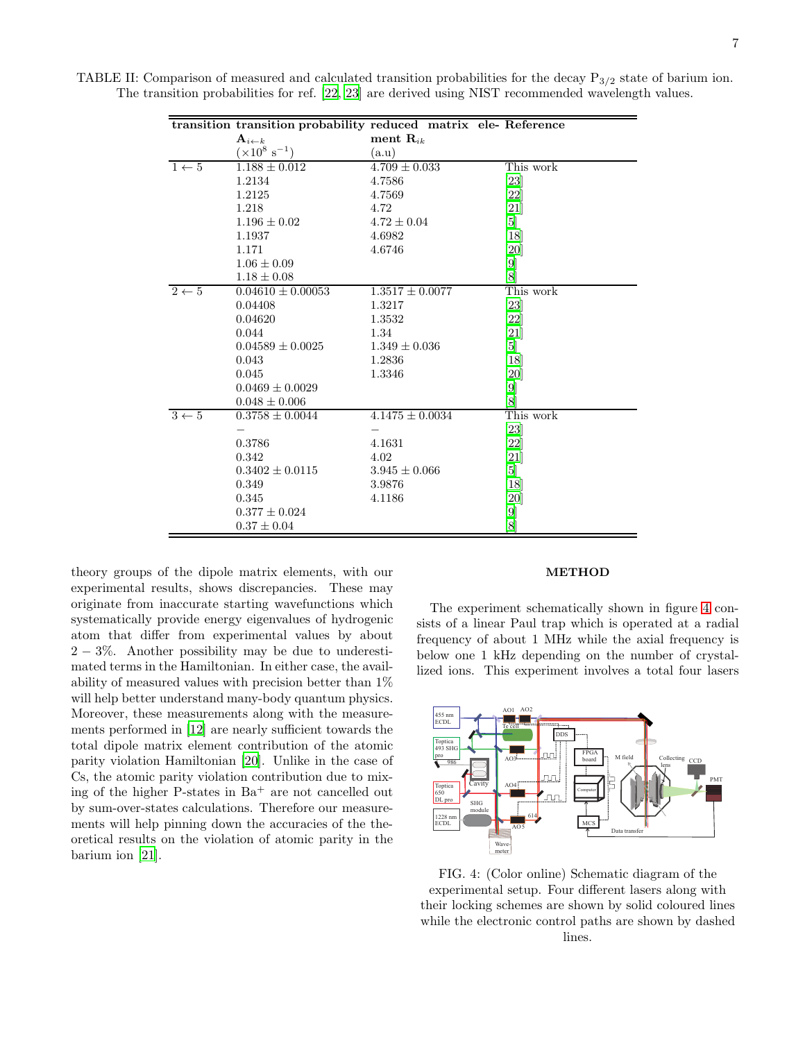| ment $\mathbf{R}_{ik}$<br>$\mathbf{A}_{i\leftarrow k}$<br>$(\times 10^8 \text{ s}^{-1})$<br>(a.u)<br>This work<br>$4.709 \pm 0.033$<br>$1 \leftarrow 5$<br>$1.188 \pm 0.012$<br>1.2134<br>[23]<br>4.7586<br>[22]<br>1.2125<br>4.7569<br>1.218<br>$[21]$<br>4.72<br>$4.72 \pm 0.04$<br>[5]<br>$1.196 \pm 0.02$<br>[18]<br>1.1937<br>4.6982<br>1.171<br>4.6746<br>[20]                                                                                                                                                                                                                                                                                                     |  |
|--------------------------------------------------------------------------------------------------------------------------------------------------------------------------------------------------------------------------------------------------------------------------------------------------------------------------------------------------------------------------------------------------------------------------------------------------------------------------------------------------------------------------------------------------------------------------------------------------------------------------------------------------------------------------|--|
|                                                                                                                                                                                                                                                                                                                                                                                                                                                                                                                                                                                                                                                                          |  |
|                                                                                                                                                                                                                                                                                                                                                                                                                                                                                                                                                                                                                                                                          |  |
|                                                                                                                                                                                                                                                                                                                                                                                                                                                                                                                                                                                                                                                                          |  |
|                                                                                                                                                                                                                                                                                                                                                                                                                                                                                                                                                                                                                                                                          |  |
|                                                                                                                                                                                                                                                                                                                                                                                                                                                                                                                                                                                                                                                                          |  |
|                                                                                                                                                                                                                                                                                                                                                                                                                                                                                                                                                                                                                                                                          |  |
|                                                                                                                                                                                                                                                                                                                                                                                                                                                                                                                                                                                                                                                                          |  |
|                                                                                                                                                                                                                                                                                                                                                                                                                                                                                                                                                                                                                                                                          |  |
|                                                                                                                                                                                                                                                                                                                                                                                                                                                                                                                                                                                                                                                                          |  |
| $[9]$<br>$1.06 \pm 0.09$                                                                                                                                                                                                                                                                                                                                                                                                                                                                                                                                                                                                                                                 |  |
| [8]<br>$1.18 \pm 0.08$                                                                                                                                                                                                                                                                                                                                                                                                                                                                                                                                                                                                                                                   |  |
| $1.3517 \pm 0.0077$<br>This work<br>$2 \leftarrow 5$<br>$0.04610 \pm 0.00053$                                                                                                                                                                                                                                                                                                                                                                                                                                                                                                                                                                                            |  |
| [23]<br>0.04408<br>1.3217                                                                                                                                                                                                                                                                                                                                                                                                                                                                                                                                                                                                                                                |  |
| 0.04620<br>$[22] % \includegraphics[width=1\textwidth]{images/TrDiM-Architecture.png} \caption{The 2D maps of the estimators in the image.} \label{fig:TrDiM-Architecture}$<br>1.3532                                                                                                                                                                                                                                                                                                                                                                                                                                                                                    |  |
| 0.044<br>1.34<br>[21]                                                                                                                                                                                                                                                                                                                                                                                                                                                                                                                                                                                                                                                    |  |
| $0.04589 \pm 0.0025$<br>$1.349 \pm 0.036$<br>[5]                                                                                                                                                                                                                                                                                                                                                                                                                                                                                                                                                                                                                         |  |
| 0.043<br>[18]<br>1.2836                                                                                                                                                                                                                                                                                                                                                                                                                                                                                                                                                                                                                                                  |  |
| 0.045<br>[20]<br>1.3346                                                                                                                                                                                                                                                                                                                                                                                                                                                                                                                                                                                                                                                  |  |
| $[9] % \begin{center} \includegraphics[width=\linewidth]{imagesSupplemental/Imetad.png} \end{center} % \vspace{-1em} \caption{The figure shows the \textit{exponent} and \textit{exponent} is the \textit{exponent} and \textit{exponent} is the \textit{exponent} and \textit{exponent} is the \textit{exponent} and \textit{exponent} is the \textit{exponent} and \textit{exponent} is the \textit{exponent} and \textit{exponent} is the \textit{exponent} and \textit{exponent} is the \textit{exponent} and \textit{exponent} is the \textit{exponent} and \textit{exponent} is the \textit{exponent} and \textit{exponent} is the \textit$<br>$0.0469 \pm 0.0029$ |  |
| [8]<br>$0.048 \pm 0.006$                                                                                                                                                                                                                                                                                                                                                                                                                                                                                                                                                                                                                                                 |  |
| $3 \leftarrow 5$<br>This work<br>$0.3758 \pm 0.0044$<br>$4.1475 \pm 0.0034$                                                                                                                                                                                                                                                                                                                                                                                                                                                                                                                                                                                              |  |
| $[23]$                                                                                                                                                                                                                                                                                                                                                                                                                                                                                                                                                                                                                                                                   |  |
| $[22]$<br>0.3786<br>4.1631                                                                                                                                                                                                                                                                                                                                                                                                                                                                                                                                                                                                                                               |  |
| 0.342<br>[21]<br>4.02                                                                                                                                                                                                                                                                                                                                                                                                                                                                                                                                                                                                                                                    |  |
| $0.3402 \pm 0.0115$<br>[5]<br>$3.945 \pm 0.066$                                                                                                                                                                                                                                                                                                                                                                                                                                                                                                                                                                                                                          |  |
| 0.349<br>[18]<br>3.9876                                                                                                                                                                                                                                                                                                                                                                                                                                                                                                                                                                                                                                                  |  |
| 0.345<br>[20]<br>4.1186                                                                                                                                                                                                                                                                                                                                                                                                                                                                                                                                                                                                                                                  |  |
| $[9]$<br>$0.377 \pm 0.024$                                                                                                                                                                                                                                                                                                                                                                                                                                                                                                                                                                                                                                               |  |
| [8]<br>$0.37 \pm 0.04$                                                                                                                                                                                                                                                                                                                                                                                                                                                                                                                                                                                                                                                   |  |

TABLE II: Comparison of measured and calculated transition probabilities for the decay  $P_{3/2}$  state of barium ion. The transition probabilities for ref. [\[22](#page-7-20), [23\]](#page-7-18) are derived using NIST recommended wavelength values.

theory groups of the dipole matrix elements, with our experimental results, shows discrepancies. These may originate from inaccurate starting wavefunctions which systematically provide energy eigenvalues of hydrogenic atom that differ from experimental values by about 2 − 3%. Another possibility may be due to underestimated terms in the Hamiltonian. In either case, the availability of measured values with precision better than 1% will help better understand many-body quantum physics. Moreover, these measurements along with the measurements performed in [\[12\]](#page-7-11) are nearly sufficient towards the total dipole matrix element contribution of the atomic parity violation Hamiltonian [\[20](#page-7-22)]. Unlike in the case of Cs, the atomic parity violation contribution due to mixing of the higher P-states in  $Ba<sup>+</sup>$  are not cancelled out by sum-over-states calculations. Therefore our measurements will help pinning down the accuracies of the theoretical results on the violation of atomic parity in the barium ion [\[21\]](#page-7-21).

#### METHOD

The experiment schematically shown in figure [4](#page-6-0) consists of a linear Paul trap which is operated at a radial frequency of about 1 MHz while the axial frequency is below one 1 kHz depending on the number of crystallized ions. This experiment involves a total four lasers

<span id="page-6-0"></span>

FIG. 4: (Color online) Schematic diagram of the experimental setup. Four different lasers along with their locking schemes are shown by solid coloured lines while the electronic control paths are shown by dashed lines.